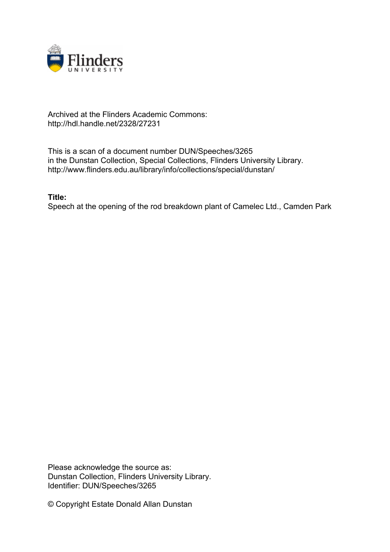

## Archived at the Flinders Academic Commons: http://hdl.handle.net/2328/27231

This is a scan of a document number DUN/Speeches/3265 in the Dunstan Collection, Special Collections, Flinders University Library. http://www.flinders.edu.au/library/info/collections/special/dunstan/

**Title:**

Speech at the opening of the rod breakdown plant of Camelec Ltd., Camden Park

Please acknowledge the source as: Dunstan Collection, Flinders University Library. Identifier: DUN/Speeches/3265

© Copyright Estate Donald Allan Dunstan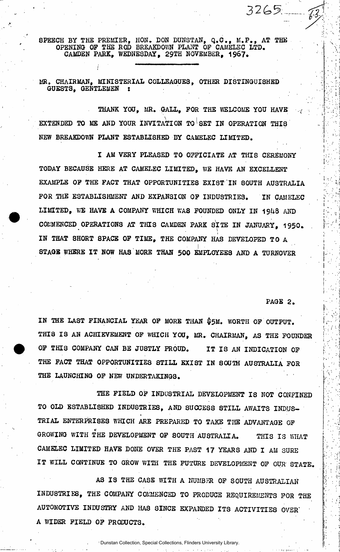8PEECH BY THE PREMIER, HON. DON DUNSTAN, Q.C. , M.P. , AT THE OPENING OP THE ROD BREAKDOWN PLANT OP CAMELEC LTD, CAMDEN PARK, WEDNESDAY, 29TH NOVEMBER, 1967.

MR. CHAIRMAN, MINISTERIAL COLLEAGUES, OTHER DISTINGUISHED GUESTS, GENTLEMEN :

THANK YOU, MR. GALL, POR THE WELCOME YOU HAVE EXTENDED TO ME AND YOUR INVITATION TO SET IN OPERATION THIS NEW BREAKDOWN PLANT ESTABLISHED BY CAMELEC LIMITED.

I AM VERY PLEASED TO OFFICIATE AT THI8 CEREMONY TODAY BECAUSE HERE AT CAMELEC LIMITED, WE HAVE AN EXCELLENT EXAMPLE OP THE PACT THAT OPPORTUNITIES EXIST''IN 80UTH AUSTRALIA POR THE ESTABLISHMENT AND EXPANSION OP INDUSTRIES. IN CAMELEC LIMITED, WE HAVE A COMPANY WHICH WA8 POUNDED ONLY IN 19U8 AND COMMENCED OPERATIONS AT THIS CAMDEN PARK SITE IN JANUARY, 1950 . IN THAT 8H0RT SPACE OP TIME, THE COMPANY HAS DEVELOPED TO A • I • STAGS WHERE IT NOW HAS MORE THAN 500 EMPLOYEES AND A TURNOVER

PAGE 2.

3265

IN THE LAST FINANCIAL YEAR OP MORE THAN §5M. WORTH OP OUTPUT. THIS IS AN ACHIEVEMENT OF WHICH YOU, MR. CHAIRMAN, AS THE FOUNDER OF THIS COMPANY CAN BE JUSTLY PROUD. IT IS AN INDICATION OF THE FACT THAT OPPORTUNITIES STILL EXIST IN SOUTH AUSTRALIA FOR THE LAUNCHING OP NEW UNDERTAKINGS.

THE FIELD OF INDUSTRIAL DEVELOPMENT IS NOT CONFINED TO OLD ESTABLISHED INDUSTRIES, AND SUCCESS 8TILL AWAITS INDUS-TRIAL ENTERPRISES WHICH ARE PREPARED TO TAKE THE ADVANTAGE OP GROWING WITH THE DEVELOPMENT OF SOUTH AUSTRALIA. THIS IS WHAT CAMELEC LIMITED HAVE DONE OVER THE PAST 17 YEARS AND I AM SURE IT WILL CONTINUE TO GROW WITH THE FUTURE DEVELOPMENT OF OUR STATE.

AS IS THE CASE WITH A NUMBER OF SOUTH AUSTRALIAN INDU8TRIE8, THE COMPANY COMMENCED TO PRODUCE REQUIREMENTS POR THE AUTOMOTIVE INDUSTRY AND HAS SINCE EXPANDED ITS ACTIVITIES OVER" A WIDER FIELD OP PRODUCTS.

Dunstan Collection, Special Collections, Flinders University Library.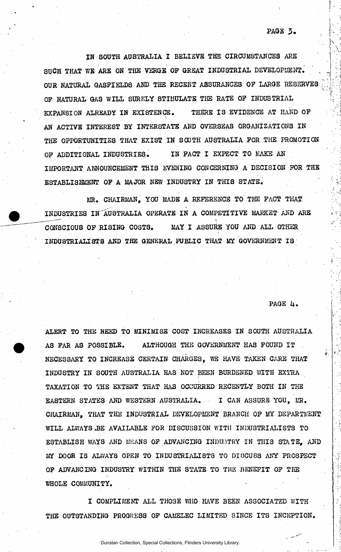IN SOUTH AUSTRALIA I BELIEVE THE CIRCUMSTANCES ARE SUCH THAT WE ARE ON THE VERGE OF GREAT INDUSTRIAL DEVELOPMENT. OUR NATURAL GASFIELDS AND THE RECENT ASSURANCES OF LARGE RESERVES OP NATURAL GAS WILL SURELY STIMULATE THE RATE OP INDUSTRIAL EXPANSION ALREADY IN EXISTENCE. THERE IS EVIDENCE AT HAND OF  $\ddot{\phantom{0}}$ AN ACTIVE INTEREST BY INTERSTATE AND OVERSEAS ORGANIZATIONS IN THE OPPORTUNITIES THAT EXIST IN SOUTH AUSTRALIA FOR THE FROMOTION OF ADDITIONAL INDUSTRIES. IN FACT I EXPECT TO MAKE AN IMPORTANT ANNOUNCEMENT THIS EVENING CONCERNING A DECISION FOR THE ESTABLISHMENT OP A MAJOR NEW INDUSTRY IN THI8 STATE.

MR. CHAIRMAN, YOU MADE A REFERENCE TO THE PACT THAT INDUSTRIES IN^AUSTRALIA OPERATE IN A COMPETITIVE MARKET AND ARE CONSCIOUS OF RISING COSTS. MAY I ASSURE YOU AND ALL OTHER INDUSTRIALISTS AND THE GENERAL PUBLIC THAT MY GOVERNMENT IS

PAGE 4.

ALERT TO THE NEED TO MINIMISE COST INCREASES IN SOUTH AUSTRALIA AS FAR AS POSSIBLE. ALTHOUGH THE GOVERNMENT HAS FOUND IT .NECESSARY TO INCREASE CERTAIN CHARGES, WE HAVE TAKEN CARE THAT INDUSTRY IN 80UTH AUSTRALIA HAS NOT BEEN BURDENED WITH EXTRA TAXATION TO THE EXTENT THAT HAS OCCURRED RECENTLY BOTH IN THE EA8TERN STATES AND WESTERN AUSTRALIA. • I CAN ASSURE YOU, MR. CHAIRMAN, THAT THE INDUSTRIAL DEVELOPMENT BRANCH OP MY DEPARTMENT WILL ALWAYS BE AVAILABLE FOR DISCUSSION WITH INDUSTRIALISTS TO ESTABLISH WAYS AND MEANS OP ADVANCING INDUSTRY IN THIS STATE, AND MY DOOR IS ALWAYS OPEN TO INDUSTRIALISTS TO DISCUSS ANY PROSPECT OF ADVANCING INDUSTRY WITHIN THE STATE TO THE BENEFIT OF THE WHOLE COMMUNITY.

I COMPLIMENT ALL TH03E WHO HAVE BEEN ASSOCIATED WITH THE OUTSTANDING PROGRESS OF CAMELEC LIMITED SINCE ITS INCEPTION.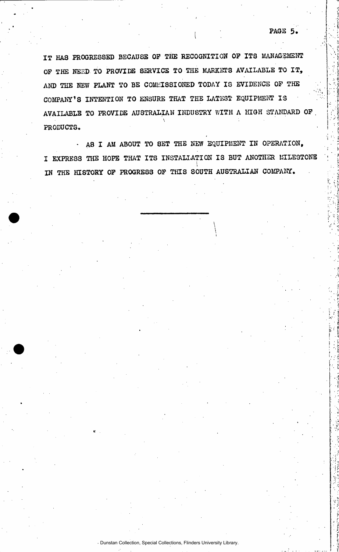IT HAS PROGRESSED BECAUSE OF THE RECOGNITION OF ITS MANAGEMENT OF THE NEED TO PROVIDE SERVICE TO THE MARKETS AVAILABLE TO IT, AND THE NEW PLANT TO BE COMMISSIONED TODAY IS EVIDENCE OF THE COMPANY'S INTENTION TO ENSURE THAT THE LATEST EQUIPMENT IS AVAILABLE TO PROVIDE AUSTRALIAN INDUSTRY WITH A HIGH STANDARD OP , **\**  PRODUCTS.

• A8 I AM ABOUT TO 8ET THE NEW EQUIPMENT IN OPERATION, I EXPRESS THE HOPE THAT ITS INSTALIATION IS BUT ANOTHER MILESTONE IN THE HISTORY OP PROGRESS OP THIS SOUTH AUSTRALIAN COMPANY.

> \  $\setminus$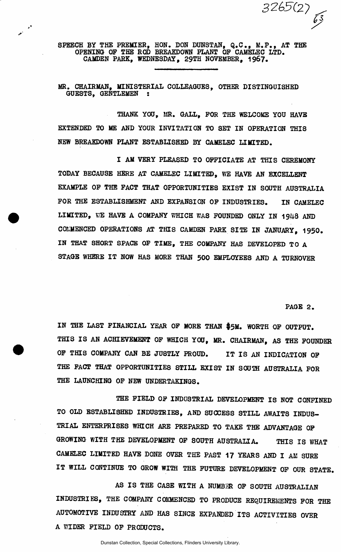*32(^(2)* 

SPEECH BY THE PREMIER, HON. DON DUNSTAN, Q.C. , M.P. , AT THE OPENING OP THE ROD BREAKDOWN PLANT OP CAMELEC LTD. CAMDEN PARK, WEDNESDAY, 29TH NOVEMBER, 1967.

MR. CHAIRMAN, MINISTERIAL COLLEAGUES, OTHER DISTINGUISHED GUESTS, GENTLEMEN :

THANK YOU, MR. GALL, POR THE WELCOME YOU HAVE EXTENDED TO ME AND YOUR INVITATION TO SET IN OPERATION THIS NEW BREAKDOWN PLANT ESTABLISHED BY CAMELEC LIMITED.

I AM VERY PLEASED TO OFFICIATE AT THIS CEREMONY TODAY BECAUSE HERE AT CAMELEC LIMITED, WE HAVE AN EXCELLENT EXAMPLE OP THE PACT THAT OPPORTUNITIES EXIST IN SOUTH AUSTRALIA POR THE ESTABLISHMENT AND EXPANSION OP INDUSTRIES. IN CAMELEC LIMITED, WE HAVE A COMPANY WHICH WAS FOUNDED ONLY IN 1948 AND COMMENCED OPERATIONS AT THIS CAMDEN PARK SITE IN JANUARY, 1950 . IN THAT SHORT SPACE OP TIME, THE COMPANY HAS DEVELOPED TO A STAGB WHERE IT NOW HAS MORE THAN 500 EMPLOYEES AND A TURNOVER

PAGE 2.

IN THE LAST FINANCIAL YEAR OP MORE THAN \$5M. WORTH OP OUTPUT. THIS IS AN ACHIEVEMENT OF WHICH YOU, MR. CHAIRMAN, AS THE FOUNDER OF THIS COMPANY CAN BE JUSTLY PROUD. IT IS AN INDICATION OF THE PACT THAT OPPORTUNITIES STILL EXIST IN SOUTH AUSTRALIA FOR THE LAUNCHING OF NEW UNDERTAKINGS.

THE FIELD OF INDUSTRIAL DEVELOPMENT IS NOT CONFINED TO OLD ESTABLISHED INDUSTRIES, AND SUCCESS STILL AWAITS INDUS-TRIAL ENTERPRISES WHICH ARE PREPARED TO TAKE THE ADVANTAGE OP GROWING WITH THE DEVELOPMENT OF SOUTH AUSTRALIA. THIS IS WHAT CAMELEC LIMITED HAVE DONE OVER THE PAST 17 YEARS AND I AM SURE IT WILL CONTINUE TO GROW WITH THE FUTURE DEVELOPMENT OP OUR STATE.

AS IS THE CASE WITH A NUMBER OF SOUTH AUSTRALIAN INDUSTRIES, THE COMPANY COMMENCED TO PRODUCE REQUIREMENTS POR THE AUTOMOTIVE INDUSTRY AND HAS SINCE EXPANDED ITS ACTIVITIES OVER A WIDER FIELD OF PRODUCTS.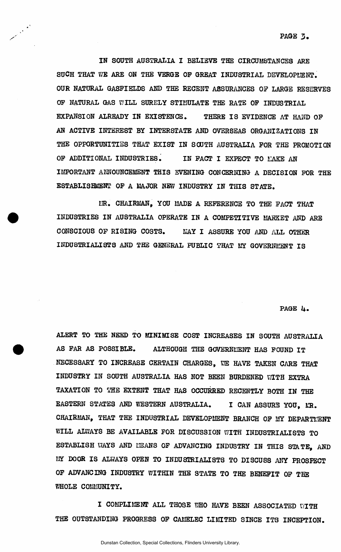IN SOUTH AUSTRALIA I BELIEVE THE CIRCUMSTANCES ARE SUCH THAT WE ARE ON THE VERGE OF GREAT INDUSTRIAL DEVELOPMENT. OUR NATURAL GASFIELDS AND THE RECENT ASSURANCES OP LARGE RESERVES OP NATURAL GAS WILL SURELY STIMULATE THE RATE OP INDUSTRIAL EXPANSION ALREADY IN EXISTENCE. THERE IS EVIDENCE AT HAND OF AN ACTIVE INTEREST BY INTERSTATE AND OVERSEAS ORGANIZATIONS IN THE OPPORTUNITIES THAT EXIST IN SOUTH AUSTRALIA POR THE PROMOTION OF ADDITIONAL INDUSTRIES. IN FACT I EXPECT TO MAKE AN IMPORTANT ANNOUNCEMENT THIS EVENING CONCERNING A DECISION POR THE ESTABLISHMENT OP A MAJOR NEW INDUSTRY IN THIS STATE.

MR. CHAIRMAN, YOU MADE A REFERENCE TO THE FACT THAT INDUSTRIES IN AUSTRALIA OPERATE IN A COMPETITIVE MARKET AND ARE CONSCIOUS OP RISING COSTS. MAY I ASSURE YOU AND ALL OTHER INDUSTRIALISTS AND THE GENERAL PUBLIC THAT MY GOVERNMENT IS

## PAGE 4.

ALERT TO THE NEED TO MINIMISE COST INCREASES IN SOUTH AUSTRALIA AS FAR AS POSSIBLE. ALTHOUGH THE GOVERNLIENT HAS FOUND IT NECESSARY TO INCREASE CERTAIN CHARGES, WE HAVE TAKEN CARE THAT INDUSTRY IN SOUTH AUSTRALIA HAS NOT BEEN BURDENED WITH EXTRA TAXATION TO THE EXTENT THAT HAS OCCURRED RECENTLY BOTH IN THE EASTERN STATES AND WESTERN AUSTRALIA. I CAN ASSURE YOU, MR. CHAIRMAN. THAT THE INDUSTRIAL DEVELOPMENT BRANCH OF MY DEPARTMENT WILL ALWAYS BE AVAILABLE FOR DISCUSSION WITH INDUSTRIALISTS TO ESTABLISH WAYS AND MEANS OF ADVANCING INDUSTRY IN THIS STATE, AND MY DOOR IS ALWAYS OPEN TO INDUSTRIALISTS TO DISCUSS ANY PROSPECT OF ADVANCING INDUSTRY WITHIN THE STATE TO THE BENEFIT OF THE WHOLE COMMUNITY.

I COMPLIMENT ALL THOSE WHO HAVE BEEN ASSOCIATED UITH THE OUTSTANDING PROGRESS OP CAMELEC LIMITED SINCE ITS INCEPTION.